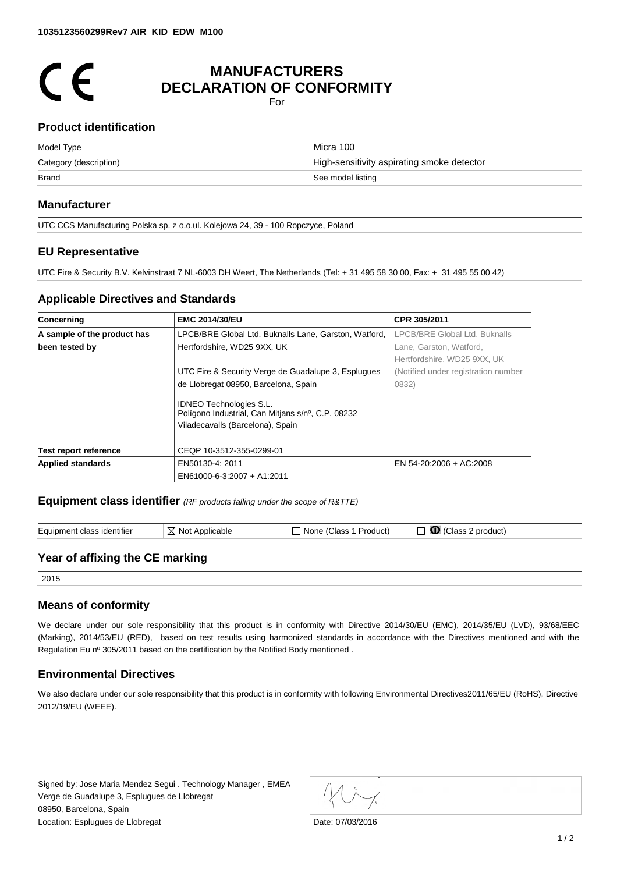# $\epsilon$

# **MANUFACTURERS DECLARATION OF CONFORMITY**

For

#### **Product identification**

| Model Type             | Micra 100                                  |  |
|------------------------|--------------------------------------------|--|
| Category (description) | High-sensitivity aspirating smoke detector |  |
| <b>Brand</b>           | See model listing                          |  |

#### **Manufacturer**

UTC CCS Manufacturing Polska sp. z o.o.ul. Kolejowa 24, 39 - 100 Ropczyce, Poland

#### **EU Representative**

UTC Fire & Security B.V. Kelvinstraat 7 NL-6003 DH Weert, The Netherlands (Tel: + 31 495 58 30 00, Fax: + 31 495 55 00 42)

#### **Applicable Directives and Standards**

| Concerning                                                                           | <b>EMC 2014/30/EU</b>                                                               | CPR 305/2011                        |  |
|--------------------------------------------------------------------------------------|-------------------------------------------------------------------------------------|-------------------------------------|--|
| A sample of the product has<br>LPCB/BRE Global Ltd. Buknalls Lane, Garston, Watford, |                                                                                     | LPCB/BRE Global Ltd. Buknalls       |  |
| been tested by                                                                       | Hertfordshire, WD25 9XX, UK                                                         | Lane. Garston. Watford.             |  |
|                                                                                      |                                                                                     | Hertfordshire, WD25 9XX, UK         |  |
|                                                                                      | UTC Fire & Security Verge de Guadalupe 3, Esplugues                                 | (Notified under registration number |  |
|                                                                                      | de Llobregat 08950, Barcelona, Spain                                                | 0832)                               |  |
|                                                                                      | <b>IDNEO Technologies S.L.</b><br>Polígono Industrial, Can Mitjans s/nº, C.P. 08232 |                                     |  |
|                                                                                      | Viladecavalls (Barcelona), Spain                                                    |                                     |  |
| <b>Test report reference</b>                                                         | CEQP 10-3512-355-0299-01                                                            |                                     |  |
| <b>Applied standards</b>                                                             | EN50130-4: 2011                                                                     | EN 54-20:2006 + AC:2008             |  |
|                                                                                      | EN61000-6-3:2007 + A1:2011                                                          |                                     |  |

**Equipment class identifier** *(RF products falling under the scope of R&TTE)*

| Equipment class identifier      | $\boxtimes$ Not Applicable | $\Box$ None (Class 1 Product) | $\Box$ $\Box$ (Class 2 product) |  |  |  |
|---------------------------------|----------------------------|-------------------------------|---------------------------------|--|--|--|
| Year of affixing the CE marking |                            |                               |                                 |  |  |  |

2015

## **Means of conformity**

We declare under our sole responsibility that this product is in conformity with Directive 2014/30/EU (EMC), 2014/35/EU (LVD), 93/68/EEC (Marking), 2014/53/EU (RED), based on test results using harmonized standards in accordance with the Directives mentioned and with the Regulation Eu nº 305/2011 based on the certification by the Notified Body mentioned .

## **Environmental Directives**

We also declare under our sole responsibility that this product is in conformity with following Environmental Directives2011/65/EU (RoHS), Directive 2012/19/EU (WEEE).

Signed by: Jose Maria Mendez Segui . Technology Manager , EMEA Verge de Guadalupe 3, Esplugues de Llobregat 08950, Barcelona, Spain Location: Esplugues de Llobregat de Contractes de la provincia de la provincia de Date: 07/03/2016